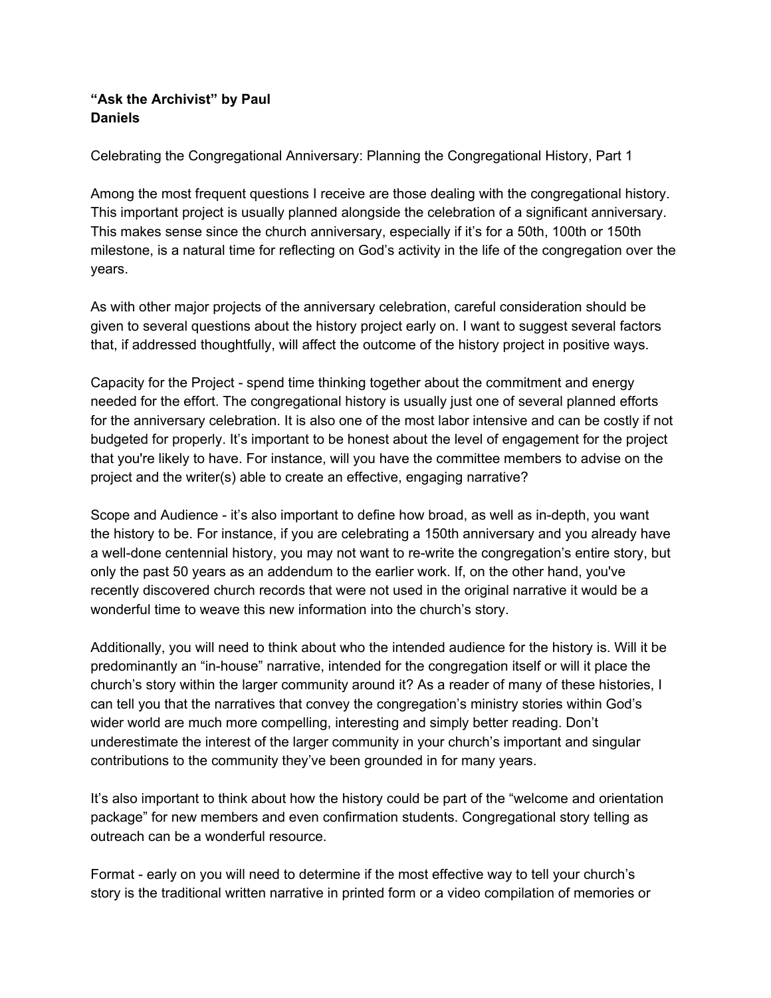## **"Ask the Archivist" by Paul Daniels**

Celebrating the Congregational Anniversary: Planning the Congregational History, Part 1

Among the most frequent questions I receive are those dealing with the congregational history. This important project is usually planned alongside the celebration of a significant anniversary. This makes sense since the church anniversary, especially if it's for a 50th, 100th or 150th milestone, is a natural time for reflecting on God's activity in the life of the congregation over the years.

As with other major projects of the anniversary celebration, careful consideration should be given to several questions about the history project early on. I want to suggest several factors that, if addressed thoughtfully, will affect the outcome of the history project in positive ways.

Capacity for the Project - spend time thinking together about the commitment and energy needed for the effort. The congregational history is usually just one of several planned efforts for the anniversary celebration. It is also one of the most labor intensive and can be costly if not budgeted for properly. It's important to be honest about the level of engagement for the project that you're likely to have. For instance, will you have the committee members to advise on the project and the writer(s) able to create an effective, engaging narrative?

Scope and Audience - it's also important to define how broad, as well as in-depth, you want the history to be. For instance, if you are celebrating a 150th anniversary and you already have a well-done centennial history, you may not want to re-write the congregation's entire story, but only the past 50 years as an addendum to the earlier work. If, on the other hand, you've recently discovered church records that were not used in the original narrative it would be a wonderful time to weave this new information into the church's story.

Additionally, you will need to think about who the intended audience for the history is. Will it be predominantly an "in-house" narrative, intended for the congregation itself or will it place the church's story within the larger community around it? As a reader of many of these histories, I can tell you that the narratives that convey the congregation's ministry stories within God's wider world are much more compelling, interesting and simply better reading. Don't underestimate the interest of the larger community in your church's important and singular contributions to the community they've been grounded in for many years.

It's also important to think about how the history could be part of the "welcome and orientation package" for new members and even confirmation students. Congregational story telling as outreach can be a wonderful resource.

Format - early on you will need to determine if the most effective way to tell your church's story is the traditional written narrative in printed form or a video compilation of memories or